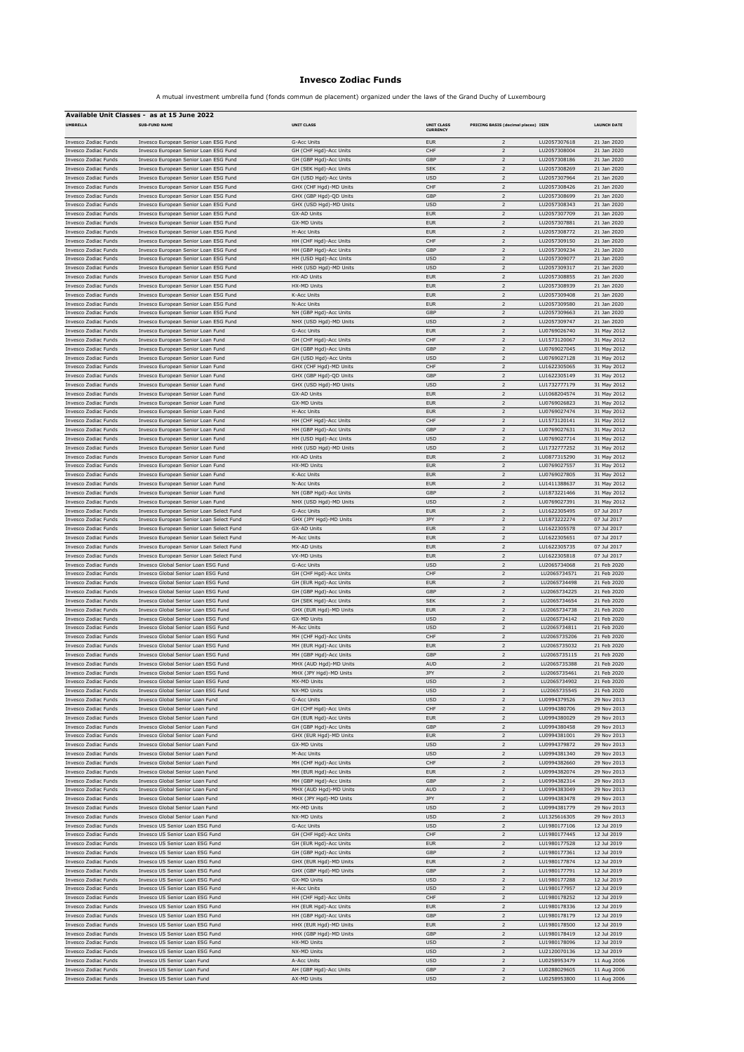## **Invesco Zodiac Funds**

A mutual investment umbrella fund (fonds commun de placement) organized under the laws of the Grand Duchy of Luxembourg

| Available Unit Classes - as at 15 June 2022                |                                                                                      |                                                  |                                      |                                     |                              |                            |  |
|------------------------------------------------------------|--------------------------------------------------------------------------------------|--------------------------------------------------|--------------------------------------|-------------------------------------|------------------------------|----------------------------|--|
| <b>UMBRELLA</b>                                            | <b>SUB-FUND NAME</b>                                                                 | <b>UNIT CLASS</b>                                | <b>UNIT CLASS</b><br><b>CURRENCY</b> | PRICING BASIS (decimal places) ISIN |                              | <b>LAUNCH DATE</b>         |  |
| <b>Invesco Zodiac Funds</b>                                | Invesco European Senior Loan ESG Fund                                                | <b>G-Acc Units</b>                               | <b>EUR</b>                           | $\mathcal{P}$                       | LU2057307618                 | 21 Jan 2020                |  |
| <b>Invesco Zodiac Funds</b>                                | Invesco European Senior Loan ESG Fund                                                | GH (CHF Hgd)-Acc Units                           | CHF                                  | $\mathbf 2$                         | LU2057308004                 | 21 Jan 2020                |  |
| Invesco Zodiac Funds                                       | Invesco European Senior Loan ESG Fund                                                | GH (GBP Hgd)-Acc Units                           | GBP                                  | $\overline{2}$                      | LU2057308186                 | 21 Jan 2020                |  |
| <b>Invesco Zodiac Funds</b>                                | Invesco European Senior Loan ESG Fund                                                | GH (SEK Hgd)-Acc Units                           | <b>SEK</b>                           | $\mathbf 2$                         | LU2057308269                 | 21 Jan 2020                |  |
| Invesco Zodiac Funds                                       | Invesco European Senior Loan ESG Fund                                                | GH (USD Hgd)-Acc Units                           | <b>USD</b>                           | $\overline{2}$                      | LU2057307964                 | 21 Jan 2020                |  |
| Invesco Zodiac Funds                                       | Invesco European Senior Loan ESG Fund                                                | GHX (CHF Hgd)-MD Units                           | CHF                                  | $\overline{2}$                      | LU2057308426                 | 21 Jan 2020                |  |
| Invesco Zodiac Funds                                       | Invesco European Senior Loan ESG Fund                                                | GHX (GBP Hgd)-QD Units                           | GBP                                  | $\mathbf 2$                         | LU2057308699                 | 21 Jan 2020                |  |
| <b>Invesco Zodiac Funds</b><br><b>Invesco Zodiac Funds</b> | Invesco European Senior Loan ESG Fund<br>Invesco European Senior Loan ESG Fund       | GHX (USD Hgd)-MD Units<br><b>GX-AD Units</b>     | <b>USD</b><br><b>EUR</b>             | $\mathbf 2$<br>$\mathbf 2$          | LU2057308343<br>LU2057307709 | 21 Jan 2020<br>21 Jan 2020 |  |
| Invesco Zodiac Funds                                       | Invesco European Senior Loan ESG Fund                                                | GX-MD Units                                      | <b>EUR</b>                           | $\overline{2}$                      | LU2057307881                 | 21 Jan 2020                |  |
| Invesco Zodiac Funds                                       | Invesco European Senior Loan ESG Fund                                                | H-Acc Units                                      | <b>EUR</b>                           | $\overline{2}$                      | LU2057308772                 | 21 Jan 2020                |  |
| <b>Invesco Zodiac Funds</b>                                | Invesco European Senior Loan ESG Fund                                                | HH (CHF Hgd)-Acc Units                           | CHF                                  | $\mathbf 2$                         | LU2057309150                 | 21 Jan 2020                |  |
| Invesco Zodiac Funds                                       | Invesco European Senior Loan ESG Fund                                                | HH (GBP Hgd)-Acc Units                           | GBP                                  | $\overline{2}$                      | LU2057309234                 | 21 Jan 2020                |  |
| <b>Invesco Zodiac Funds</b>                                | Invesco European Senior Loan ESG Fund                                                | HH (USD Hgd)-Acc Units                           | <b>USD</b>                           | $\mathbf 2$                         | LU2057309077                 | 21 Jan 2020                |  |
| Invesco Zodiac Funds                                       | Invesco European Senior Loan ESG Fund                                                | HHX (USD Hqd)-MD Units                           | <b>USD</b>                           | $\overline{2}$                      | LU2057309317                 | 21 Jan 2020                |  |
| Invesco Zodiac Funds                                       | Invesco European Senior Loan ESG Fund                                                | HX-AD Units                                      | <b>EUR</b>                           | $\overline{2}$                      | LU2057308855                 | 21 Jan 2020                |  |
| Invesco Zodiac Funds<br><b>Invesco Zodiac Funds</b>        | Invesco European Senior Loan ESG Fund<br>Invesco European Senior Loan ESG Fund       | HX-MD Units<br>K-Acc Units                       | <b>EUR</b><br><b>EUR</b>             | $\mathbf 2$<br>$\mathbf 2$          | LU2057308939<br>LU2057309408 | 21 Jan 2020<br>21 Jan 2020 |  |
| <b>Invesco Zodiac Funds</b>                                | Invesco European Senior Loan ESG Fund                                                | N-Acc Units                                      | <b>EUR</b>                           | $\mathbf 2$                         | LU2057309580                 | 21 Jan 2020                |  |
| Invesco Zodiac Funds                                       | Invesco European Senior Loan ESG Fund                                                | NH (GBP Hgd)-Acc Units                           | GBP                                  | $\overline{2}$                      | LU2057309663                 | 21 Jan 2020                |  |
| Invesco Zodiac Funds                                       | Invesco European Senior Loan ESG Fund                                                | NHX (USD Hgd)-MD Units                           | <b>USD</b>                           | $\overline{2}$                      | LU2057309747                 | 21 Jan 2020                |  |
| <b>Invesco Zodiac Funds</b>                                | Invesco European Senior Loan Fund                                                    | <b>G-Acc Units</b>                               | <b>EUR</b>                           | $\mathbf 2$                         | LU0769026740                 | 31 May 2012                |  |
| Invesco Zodiac Funds                                       | Invesco European Senior Loan Fund                                                    | GH (CHF Hgd)-Acc Units                           | CHF                                  | $\overline{2}$                      | LU1573120067                 | 31 May 2012                |  |
| <b>Invesco Zodiac Funds</b>                                | Invesco European Senior Loan Fund                                                    | GH (GBP Hgd)-Acc Units                           | GBP                                  | $\mathbf 2$                         | LU0769027045                 | 31 May 2012                |  |
| Invesco Zodiac Funds                                       | Invesco European Senior Loan Fund                                                    | GH (USD Hgd)-Acc Units                           | <b>USD</b>                           | $\overline{2}$                      | LU0769027128                 | 31 May 2012                |  |
| Invesco Zodiac Funds                                       | Invesco European Senior Loan Fund                                                    | GHX (CHF Hgd)-MD Units                           | CHF                                  | $\overline{2}$                      | LU1622305065                 | 31 May 2012                |  |
| Invesco Zodiac Funds<br><b>Invesco Zodiac Funds</b>        | Invesco European Senior Loan Fund<br>Invesco European Senior Loan Fund               | GHX (GBP Hgd)-QD Units<br>GHX (USD Hgd)-MD Units | GBP<br><b>USD</b>                    | $\mathbf 2$<br>$\mathbf 2$          | LU1622305149<br>LU1732777179 | 31 May 2012<br>31 May 2012 |  |
| <b>Invesco Zodiac Funds</b>                                | Invesco European Senior Loan Fund                                                    | GX-AD Units                                      | <b>EUR</b>                           | $\mathbf 2$                         | LU1068204574                 | 31 May 2012                |  |
| Invesco Zodiac Funds                                       | Invesco European Senior Loan Fund                                                    | GX-MD Units                                      | <b>EUR</b>                           | $\overline{2}$                      | LU0769026823                 | 31 May 2012                |  |
| Invesco Zodiac Funds                                       | Invesco European Senior Loan Fund                                                    | H-Acc Units                                      | <b>EUR</b>                           | $\overline{2}$                      | LU0769027474                 | 31 May 2012                |  |
| <b>Invesco Zodiac Funds</b>                                | Invesco European Senior Loan Fund                                                    | HH (CHF Hgd)-Acc Units                           | CHF                                  | $\mathbf 2$                         | LU1573120141                 | 31 May 2012                |  |
| Invesco Zodiac Funds                                       | Invesco European Senior Loan Fund                                                    | HH (GBP Hgd)-Acc Units                           | GBP                                  | $\overline{2}$                      | LU0769027631                 | 31 May 2012                |  |
| <b>Invesco Zodiac Funds</b>                                | Invesco European Senior Loan Fund                                                    | HH (USD Hgd)-Acc Units                           | <b>USD</b>                           | $\mathbf 2$                         | LU0769027714                 | 31 May 2012                |  |
| Invesco Zodiac Funds                                       | Invesco European Senior Loan Fund                                                    | HHX (USD Hgd)-MD Units                           | <b>USD</b>                           | $\overline{2}$                      | LU1732777252                 | 31 May 2012                |  |
| Invesco Zodiac Funds                                       | Invesco European Senior Loan Fund                                                    | HX-AD Units                                      | <b>EUR</b>                           | $\overline{2}$                      | LU0877315290                 | 31 May 2012                |  |
| Invesco Zodiac Funds                                       | Invesco European Senior Loan Fund                                                    | HX-MD Units                                      | <b>EUR</b>                           | $\mathbf 2$                         | LU0769027557                 | 31 May 2012                |  |
| Invesco Zodiac Funds<br><b>Invesco Zodiac Funds</b>        | Invesco European Senior Loan Fund                                                    | K-Acc Units<br>N-Acc Units                       | <b>EUR</b><br><b>EUR</b>             | $\mathbf 2$<br>$\mathbf 2$          | LU0769027805<br>LU1411388637 | 31 May 2012<br>31 May 2012 |  |
| Invesco Zodiac Funds                                       | Invesco European Senior Loan Fund<br>Invesco European Senior Loan Fund               | NH (GBP Hgd)-Acc Units                           | GBP                                  | $\overline{2}$                      | LU1873221466                 | 31 May 2012                |  |
| Invesco Zodiac Funds                                       | Invesco European Senior Loan Fund                                                    | NHX (USD Hgd)-MD Units                           | <b>USD</b>                           | $\overline{2}$                      | LU0769027391                 | 31 May 2012                |  |
| Invesco Zodiac Funds                                       | Invesco European Senior Loan Select Fund                                             | <b>G-Acc Units</b>                               | <b>EUR</b>                           | $\mathbf 2$                         | LU1622305495                 | 07 Jul 2017                |  |
| Invesco Zodiac Funds                                       | Invesco European Senior Loan Select Fund                                             | GHX (JPY Hgd)-MD Units                           | JPY                                  | $\overline{2}$                      | LU1873222274                 | 07 Jul 2017                |  |
| <b>Invesco Zodiac Funds</b>                                | Invesco European Senior Loan Select Fund                                             | GX-AD Units                                      | <b>EUR</b>                           | $\mathbf 2$                         | LU1622305578                 | 07 Jul 2017                |  |
| Invesco Zodiac Funds                                       | Invesco European Senior Loan Select Fund                                             | M-Acc Units                                      | <b>EUR</b>                           | $\overline{2}$                      | LU1622305651                 | 07 Jul 2017                |  |
| Invesco Zodiac Funds<br>Invesco Zodiac Funds               | Invesco European Senior Loan Select Fund<br>Invesco European Senior Loan Select Fund | <b>MX-AD Units</b><br>VX-MD Units                | <b>EUR</b><br><b>EUR</b>             | $\overline{2}$<br>$\mathbf 2$       | LU1622305735<br>LU1622305818 | 07 Jul 2017<br>07 Jul 2017 |  |
| Invesco Zodiac Funds                                       | Invesco Global Senior Loan ESG Fund                                                  | <b>G-Acc Units</b>                               | <b>USD</b>                           | $\mathbf 2$                         | LU2065734068                 | 21 Feb 2020                |  |
| <b>Invesco Zodiac Funds</b>                                | Invesco Global Senior Loan ESG Fund                                                  | GH (CHF Hgd)-Acc Units                           | CHF                                  | $\mathbf 2$                         | LU2065734571                 | 21 Feb 2020                |  |
| Invesco Zodiac Funds                                       | Invesco Global Senior Loan ESG Fund                                                  | GH (EUR Hgd)-Acc Units                           | EUR                                  | $\overline{2}$                      | LU2065734498                 | 21 Feb 2020                |  |
| Invesco Zodiac Funds                                       | Invesco Global Senior Loan ESG Fund                                                  | GH (GBP Hgd)-Acc Units                           | GBP                                  | $\overline{\phantom{0}}$            | LU2065734225                 | 21 Feb 2020                |  |
| Invesco Zodiac Funds                                       | Invesco Global Senior Loan ESG Fund                                                  | GH (SEK Hgd)-Acc Units                           | <b>SEK</b>                           | $\mathbf 2$                         | LU2065734654                 | 21 Feb 2020                |  |
| <b>Invesco Zodiac Funds</b>                                | Invesco Global Senior Loan ESG Fund                                                  | GHX (EUR Hgd)-MD Units                           | <b>EUR</b>                           | $\overline{2}$                      | LU2065734738                 | 21 Feb 2020                |  |
| Invesco Zodiac Funds                                       | Invesco Global Senior Loan ESG Fund                                                  | GX-MD Units                                      | <b>USD</b>                           | $\mathbf 2$                         | LU2065734142                 | 21 Feb 2020                |  |
| Invesco Zodiac Funds                                       | Invesco Global Senior Loan ESG Fund                                                  | M-Acc Units                                      | <b>USD</b>                           | $\overline{2}$                      | LU2065734811                 | 21 Feb 2020                |  |
| Invesco Zodiac Funds<br>Invesco Zodiac Funds               | Invesco Global Senior Loan ESG Fund<br>Invesco Global Senior Loan ESG Fund           | MH (CHF Hgd)-Acc Units<br>MH (EUR Hgd)-Acc Units | CHF<br><b>EUR</b>                    | $\overline{2}$<br>$\mathbf 2$       | LU2065735206<br>LU2065735032 | 21 Feb 2020<br>21 Feb 2020 |  |
| Invesco Zodiac Funds                                       | Invesco Global Senior Loan ESG Fund                                                  | MH (GBP Hgd)-Acc Units                           | GBP                                  | $\mathbf 2$                         | LU2065735115                 | 21 Feb 2020                |  |
| Invesco Zodiac Funds                                       | Invesco Global Senior Loan ESG Fund                                                  | MHX (AUD Hgd)-MD Units                           | AUD                                  | $\mathbf 2$                         | LU2065735388                 | 21 Feb 2020                |  |
| Invesco Zodiac Funds                                       | Invesco Global Senior Loan ESG Fund                                                  | MHX (JPY Hgd)-MD Units                           | JPY                                  | $\overline{2}$                      | LU2065735461                 | 21 Feb 2020                |  |
| Invesco Zodiac Funds                                       | Invesco Global Senior Loan ESG Fund                                                  | MX-MD Units                                      | <b>USD</b>                           | $\overline{2}$                      | LU2065734902                 | 21 Feb 2020                |  |
| Invesco Zodiac Funds                                       | Invesco Global Senior Loan ESG Fund                                                  | NX-MD Units                                      | <b>USD</b>                           | $\mathbf 2$                         | LU2065735545                 | 21 Feb 2020                |  |
| Invesco Zodiac Funds                                       | Invesco Global Senior Loan Fund                                                      | <b>G-Acc Units</b>                               | <b>USD</b>                           | $\sqrt{2}$                          | LU0994379526                 | 29 Nov 2013                |  |
| Invesco Zodiac Funds                                       | Invesco Global Senior Loan Fund                                                      | GH (CHF Hgd)-Acc Units                           | CHF                                  | $\sqrt{2}$                          | LU0994380706                 | 29 Nov 2013                |  |
| Invesco Zodiac Funds<br>Invesco Zodiac Funds               | Invesco Global Senior Loan Fund<br>Invesco Global Senior Loan Fund                   | GH (EUR Hgd)-Acc Units                           | <b>EUR</b><br>GBP                    | $\mathbf 2$<br>$\overline{2}$       | LU0994380029<br>LU0994380458 | 29 Nov 2013<br>29 Nov 2013 |  |
| Invesco Zodiac Funds                                       | Invesco Global Senior Loan Fund                                                      | GH (GBP Hgd)-Acc Units<br>GHX (EUR Hgd)-MD Units | <b>EUR</b>                           | $\mathbf 2$                         | LU0994381001                 | 29 Nov 2013                |  |
| Invesco Zodiac Funds                                       | Invesco Global Senior Loan Fund                                                      | <b>GX-MD Units</b>                               | <b>USD</b>                           | $\mathbf 2$                         | LU0994379872                 | 29 Nov 2013                |  |
| Invesco Zodiac Funds                                       | Invesco Global Senior Loan Fund                                                      | M-Acc Units                                      | <b>USD</b>                           | $\sqrt{2}$                          | LU0994381340                 | 29 Nov 2013                |  |
| Invesco Zodiac Funds                                       | Invesco Global Senior Loan Fund                                                      | MH (CHF Hgd)-Acc Units                           | CHF                                  | $\mathbf 2$                         | LU0994382660                 | 29 Nov 2013                |  |
| Invesco Zodiac Funds                                       | Invesco Global Senior Loan Fund                                                      | MH (EUR Hgd)-Acc Units                           | <b>EUR</b>                           | $\overline{2}$                      | LU0994382074                 | 29 Nov 2013                |  |
| Invesco Zodiac Funds                                       | Invesco Global Senior Loan Fund                                                      | MH (GBP Hgd)-Acc Units                           | GBP                                  | $\mathbf 2$                         | LU0994382314                 | 29 Nov 2013                |  |
| Invesco Zodiac Funds                                       | Invesco Global Senior Loan Fund                                                      | MHX (AUD Hgd)-MD Units                           | AUD                                  | $\sqrt{2}$                          | LU0994383049                 | 29 Nov 2013                |  |
| Invesco Zodiac Funds<br>Invesco Zodiac Funds               | Invesco Global Senior Loan Fund<br>Invesco Global Senior Loan Fund                   | MHX (JPY Hgd)-MD Units<br>MX-MD Units            | JPY<br><b>USD</b>                    | $\sqrt{2}$<br>$\mathbf 2$           | LU0994383478<br>LU0994381779 | 29 Nov 2013<br>29 Nov 2013 |  |
| Invesco Zodiac Funds                                       | Invesco Global Senior Loan Fund                                                      | NX-MD Units                                      | <b>USD</b>                           | $\overline{2}$                      | LU1325616305                 | 29 Nov 2013                |  |
| Invesco Zodiac Funds                                       | Invesco US Senior Loan ESG Fund                                                      | G-Acc Units                                      | <b>USD</b>                           | $\mathbf 2$                         | LU1980177106                 | 12 Jul 2019                |  |
| Invesco Zodiac Funds                                       | Invesco US Senior Loan ESG Fund                                                      | GH (CHF Hgd)-Acc Units                           | CHF                                  | $\sqrt{2}$                          | LU1980177445                 | 12 Jul 2019                |  |
| Invesco Zodiac Funds                                       | Invesco US Senior Loan ESG Fund                                                      | GH (EUR Hgd)-Acc Units                           | <b>EUR</b>                           | $\sqrt{2}$                          | LU1980177528                 | 12 Jul 2019                |  |
| Invesco Zodiac Funds                                       | Invesco US Senior Loan ESG Fund                                                      | GH (GBP Hgd)-Acc Units                           | GBP                                  | $\overline{2}$                      | LU1980177361                 | 12 Jul 2019                |  |
| Invesco Zodiac Funds                                       | Invesco US Senior Loan ESG Fund                                                      | GHX (EUR Hgd)-MD Units                           | <b>EUR</b>                           | $\overline{2}$                      | LU1980177874                 | 12 Jul 2019                |  |
| Invesco Zodiac Funds                                       | Invesco US Senior Loan ESG Fund                                                      | GHX (GBP Hgd)-MD Units                           | GBP                                  | $\mathbf 2$                         | LU1980177791                 | 12 Jul 2019                |  |
| Invesco Zodiac Funds                                       | Invesco US Senior Loan ESG Fund                                                      | GX-MD Units                                      | <b>USD</b>                           | $\sqrt{2}$                          | LU1980177288                 | 12 Jul 2019                |  |
| Invesco Zodiac Funds                                       | Invesco US Senior Loan ESG Fund                                                      | H-Acc Units                                      | <b>USD</b>                           | $\sqrt{2}$                          | LU1980177957                 | 12 Jul 2019                |  |
| Invesco Zodiac Funds<br>Invesco Zodiac Funds               | Invesco US Senior Loan ESG Fund<br>Invesco US Senior Loan ESG Fund                   | HH (CHF Hgd)-Acc Units<br>HH (EUR Hgd)-Acc Units | CHF<br><b>EUR</b>                    | $\mathbf 2$<br>$\overline{2}$       | LU1980178252<br>LU1980178336 | 12 Jul 2019<br>12 Jul 2019 |  |
| Invesco Zodiac Funds                                       | Invesco US Senior Loan ESG Fund                                                      | HH (GBP Hgd)-Acc Units                           | GBP                                  | $\mathbf 2$                         | LU1980178179                 | 12 Jul 2019                |  |
| Invesco Zodiac Funds                                       | Invesco US Senior Loan ESG Fund                                                      | HHX (EUR Hgd)-MD Units                           | <b>EUR</b>                           | $\mathbf 2$                         | LU1980178500                 | 12 Jul 2019                |  |
| <b>Invesco Zodiac Funds</b>                                | Invesco US Senior Loan ESG Fund                                                      | HHX (GBP Hgd)-MD Units                           | GBP                                  | $\sqrt{2}$                          | LU1980178419                 | 12 Jul 2019                |  |
| Invesco Zodiac Funds                                       | Invesco US Senior Loan ESG Fund                                                      | HX-MD Units                                      | <b>USD</b>                           | $\overline{2}$                      | LU1980178096                 | 12 Jul 2019                |  |
| Invesco Zodiac Funds                                       | Invesco US Senior Loan ESG Fund                                                      | NX-MD Units                                      | <b>USD</b>                           | $\overline{2}$                      | LU2120070136                 | 12 Jul 2019                |  |
| Invesco Zodiac Funds                                       | Invesco US Senior Loan Fund                                                          | A-Acc Units                                      | <b>USD</b>                           | $\mathbf 2$                         | LU0258953479                 | 11 Aug 2006                |  |
| Invesco Zodiac Funds<br><b>Invesco Zodiac Funds</b>        | Invesco US Senior Loan Fund<br>Invesco US Senior Loan Fund                           | AH (GBP Hgd)-Acc Units<br>AX-MD Units            | GBP<br><b>USD</b>                    | $\mathbf 2$<br>$\overline{2}$       | LU0288029605<br>LU0258953800 | 11 Aug 2006<br>11 Aug 2006 |  |